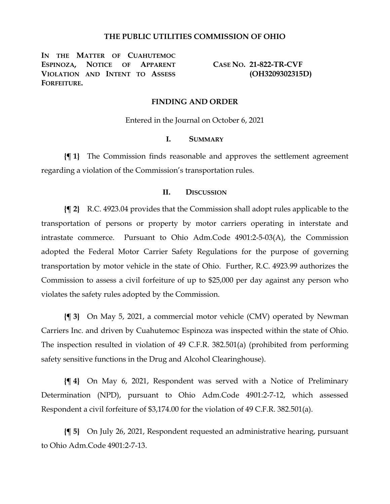# **THE PUBLIC UTILITIES COMMISSION OF OHIO**

**IN THE MATTER OF CUAHUTEMOC ESPINOZA, NOTICE OF APPARENT VIOLATION AND INTENT TO ASSESS FORFEITURE.**

**CASE NO. 21-822-TR-CVF (OH3209302315D)**

# **FINDING AND ORDER**

Entered in the Journal on October 6, 2021

### **I. SUMMARY**

**{¶ 1}** The Commission finds reasonable and approves the settlement agreement regarding a violation of the Commission's transportation rules.

### **II. DISCUSSION**

**{¶ 2}** R.C. 4923.04 provides that the Commission shall adopt rules applicable to the transportation of persons or property by motor carriers operating in interstate and intrastate commerce. Pursuant to Ohio Adm.Code 4901:2-5-03(A), the Commission adopted the Federal Motor Carrier Safety Regulations for the purpose of governing transportation by motor vehicle in the state of Ohio. Further, R.C. 4923.99 authorizes the Commission to assess a civil forfeiture of up to \$25,000 per day against any person who violates the safety rules adopted by the Commission.

**{¶ 3}** On May 5, 2021, a commercial motor vehicle (CMV) operated by Newman Carriers Inc. and driven by Cuahutemoc Espinoza was inspected within the state of Ohio. The inspection resulted in violation of 49 C.F.R. 382.501(a) (prohibited from performing safety sensitive functions in the Drug and Alcohol Clearinghouse).

**{¶ 4}** On May 6, 2021, Respondent was served with a Notice of Preliminary Determination (NPD), pursuant to Ohio Adm.Code 4901:2-7-12, which assessed Respondent a civil forfeiture of \$3,174.00 for the violation of 49 C.F.R. 382.501(a).

**{¶ 5}** On July 26, 2021, Respondent requested an administrative hearing, pursuant to Ohio Adm.Code 4901:2-7-13.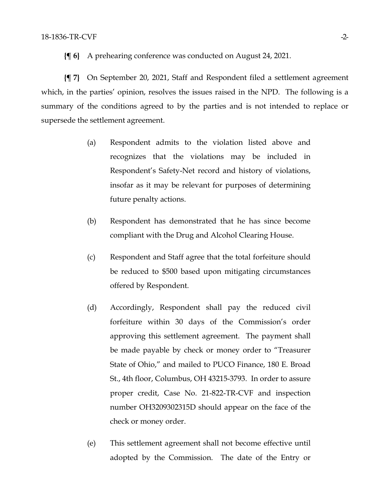**{¶ 6}** A prehearing conference was conducted on August 24, 2021.

**{¶ 7}** On September 20, 2021, Staff and Respondent filed a settlement agreement which, in the parties' opinion, resolves the issues raised in the NPD. The following is a summary of the conditions agreed to by the parties and is not intended to replace or supersede the settlement agreement.

- (a) Respondent admits to the violation listed above and recognizes that the violations may be included in Respondent's Safety-Net record and history of violations, insofar as it may be relevant for purposes of determining future penalty actions.
- (b) Respondent has demonstrated that he has since become compliant with the Drug and Alcohol Clearing House.
- (c) Respondent and Staff agree that the total forfeiture should be reduced to \$500 based upon mitigating circumstances offered by Respondent.
- (d) Accordingly, Respondent shall pay the reduced civil forfeiture within 30 days of the Commission's order approving this settlement agreement. The payment shall be made payable by check or money order to "Treasurer State of Ohio," and mailed to PUCO Finance, 180 E. Broad St., 4th floor, Columbus, OH 43215-3793. In order to assure proper credit, Case No. 21-822-TR-CVF and inspection number OH3209302315D should appear on the face of the check or money order.
- (e) This settlement agreement shall not become effective until adopted by the Commission. The date of the Entry or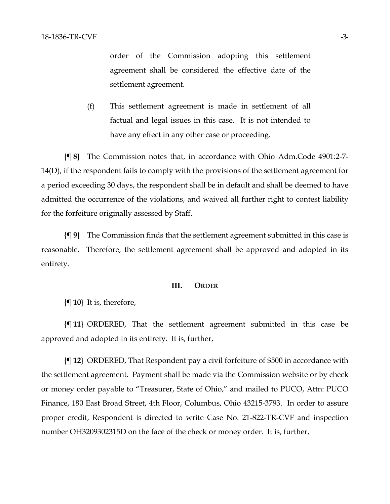order of the Commission adopting this settlement agreement shall be considered the effective date of the settlement agreement.

(f) This settlement agreement is made in settlement of all factual and legal issues in this case. It is not intended to have any effect in any other case or proceeding.

**{¶ 8}** The Commission notes that, in accordance with Ohio Adm.Code 4901:2-7- 14(D), if the respondent fails to comply with the provisions of the settlement agreement for a period exceeding 30 days, the respondent shall be in default and shall be deemed to have admitted the occurrence of the violations, and waived all further right to contest liability for the forfeiture originally assessed by Staff.

**{¶ 9}** The Commission finds that the settlement agreement submitted in this case is reasonable. Therefore, the settlement agreement shall be approved and adopted in its entirety.

#### **III. ORDER**

**{¶ 10}** It is, therefore,

**{¶ 11}** ORDERED, That the settlement agreement submitted in this case be approved and adopted in its entirety. It is, further,

**{¶ 12}** ORDERED, That Respondent pay a civil forfeiture of \$500 in accordance with the settlement agreement. Payment shall be made via the Commission website or by check or money order payable to "Treasurer, State of Ohio," and mailed to PUCO, Attn: PUCO Finance, 180 East Broad Street, 4th Floor, Columbus, Ohio 43215-3793. In order to assure proper credit, Respondent is directed to write Case No. 21-822-TR-CVF and inspection number OH3209302315D on the face of the check or money order. It is, further,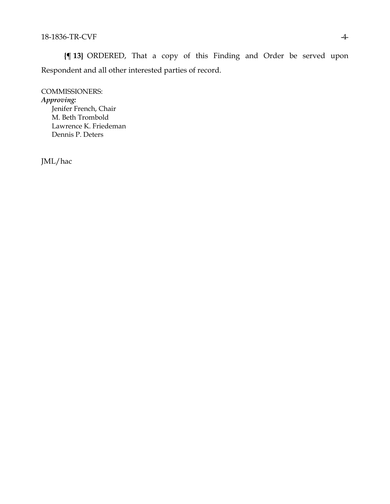**{¶ 13}** ORDERED, That a copy of this Finding and Order be served upon Respondent and all other interested parties of record.

COMMISSIONERS: *Approving:*  Jenifer French, Chair M. Beth Trombold Lawrence K. Friedeman Dennis P. Deters

JML/hac